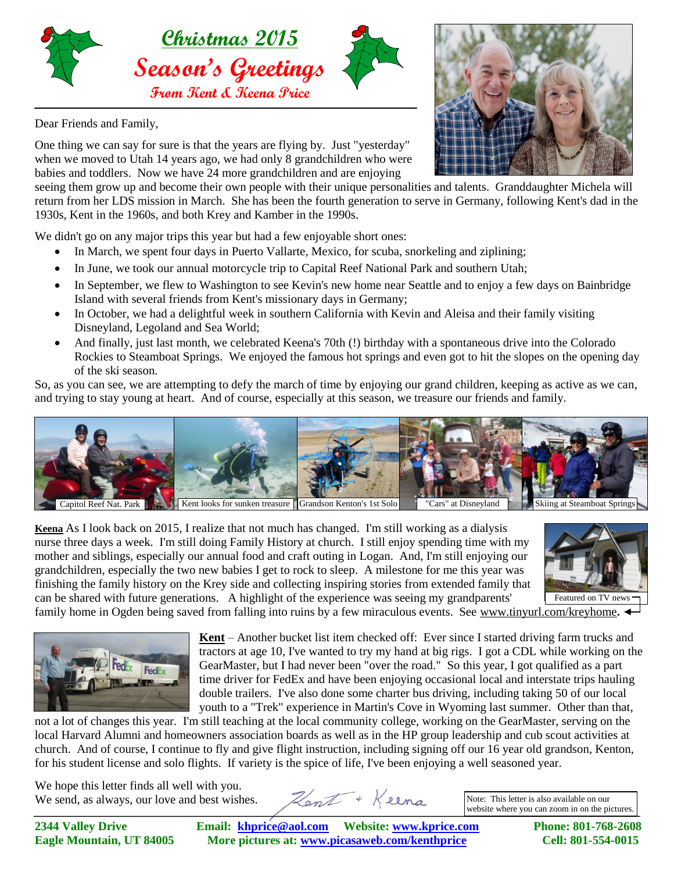

Dear Friends and Family,

One thing we can say for sure is that the years are flying by. Just "yesterday" when we moved to Utah 14 years ago, we had only 8 grandchildren who were babies and toddlers. Now we have 24 more grandchildren and are enjoying

seeing them grow up and become their own people with their unique personalities and talents. Granddaughter Michela will return from her LDS mission in March. She has been the fourth generation to serve in Germany, following Kent's dad in the 1930s, Kent in the 1960s, and both Krey and Kamber in the 1990s.

We didn't go on any major trips this year but had a few enjoyable short ones:

- In March, we spent four days in Puerto Vallarte, Mexico, for scuba, snorkeling and ziplining;
- In June, we took our annual motorcycle trip to Capital Reef National Park and southern Utah;
- In September, we flew to Washington to see Kevin's new home near Seattle and to enjoy a few days on Bainbridge Island with several friends from Kent's missionary days in Germany;
- In October, we had a delightful week in southern California with Kevin and Aleisa and their family visiting Disneyland, Legoland and Sea World;
- And finally, just last month, we celebrated Keena's 70th (!) birthday with a spontaneous drive into the Colorado Rockies to Steamboat Springs. We enjoyed the famous hot springs and even got to hit the slopes on the opening day of the ski season.

So, as you can see, we are attempting to defy the march of time by enjoying our grand children, keeping as active as we can, and trying to stay young at heart. And of course, especially at this season, we treasure our friends and family.



**Keena** As I look back on 2015, I realize that not much has changed. I'm still working as a dialysis nurse three days a week. I'm still doing Family History at church. I still enjoy spending time with my mother and siblings, especially our annual food and craft outing in Logan. And, I'm still enjoying our grandchildren, especially the two new babies I get to rock to sleep. A milestone for me this year was finishing the family history on the Krey side and collecting inspiring stories from extended family that can be shared with future generations. A highlight of the experience was seeing my grandparents'



family home in Ogden being saved from falling into ruins by a few miraculous events. See www.tinyurl.com/kreyhome.



**Kent** – Another bucket list item checked off: Ever since I started driving farm trucks and tractors at age 10, I've wanted to try my hand at big rigs. I got a CDL while working on the GearMaster, but I had never been "over the road." So this year, I got qualified as a part time driver for FedEx and have been enjoying occasional local and interstate trips hauling double trailers. I've also done some charter bus driving, including taking 50 of our local youth to a "Trek" experience in Martin's Cove in Wyoming last summer. Other than that,

not a lot of changes this year. I'm still teaching at the local community college, working on the GearMaster, serving on the local Harvard Alumni and homeowners association boards as well as in the HP group leadership and cub scout activities at church. And of course, I continue to fly and give flight instruction, including signing off our 16 year old grandson, Kenton, for his student license and solo flights. If variety is the spice of life, I've been enjoying a well seasoned year.

We hope this letter finds all well with you. We send, as always, our love and best wishes.

Hent + Keena

Note: This letter is also available on our website where you can zoom in on the pictures.

**2344 Valley Drive Email: [khprice@aol.com](mailto:khprice@aol.com) Website: [www.kprice.com](http://www.kprice.com/) Phone: 801-768-2608 Eagle Mountain, UT 84005 More pictures at: www.picasaweb.com/kenthprice Cell: 801-554-0015**